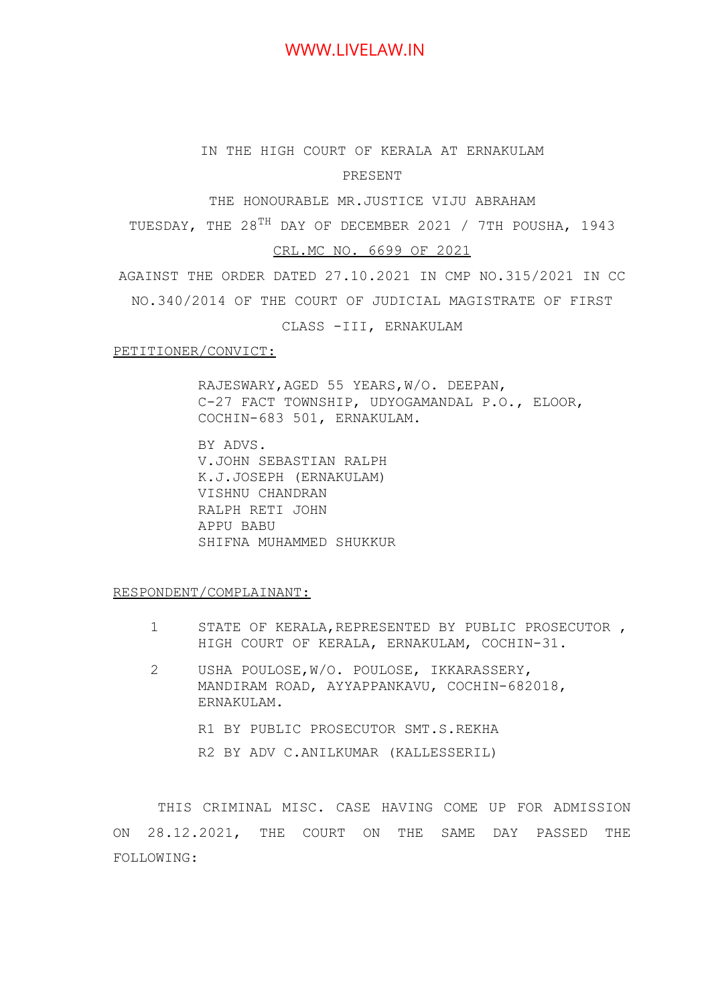# WWW.LIVELAW.IN

# IN THE HIGH COURT OF KERALA AT ERNAKULAM

PRESENT

THE HONOURABLE MR.JUSTICE VIJU ABRAHAM

TUESDAY, THE 28<sup>TH</sup> DAY OF DECEMBER 2021 / 7TH POUSHA, 1943

#### CRL.MC NO. 6699 OF 2021

AGAINST THE ORDER DATED 27.10.2021 IN CMP NO.315/2021 IN CC NO.340/2014 OF THE COURT OF JUDICIAL MAGISTRATE OF FIRST

CLASS -III, ERNAKULAM

#### PETITIONER/CONVICT:

RAJESWARY,AGED 55 YEARS,W/O. DEEPAN, C-27 FACT TOWNSHIP, UDYOGAMANDAL P.O., ELOOR, COCHIN-683 501, ERNAKULAM.

BY ADVS. V.JOHN SEBASTIAN RALPH K.J.JOSEPH (ERNAKULAM) VISHNU CHANDRAN RALPH RETI JOHN APPU BABU SHIFNA MUHAMMED SHUKKUR

RESPONDENT/COMPLAINANT:

- 1 STATE OF KERALA,REPRESENTED BY PUBLIC PROSECUTOR , HIGH COURT OF KERALA, ERNAKULAM, COCHIN-31.
- 2 USHA POULOSE,W/O. POULOSE, IKKARASSERY, MANDIRAM ROAD, AYYAPPANKAVU, COCHIN-682018, ERNAKULAM.
	- R1 BY PUBLIC PROSECUTOR SMT.S.REKHA
	- R2 BY ADV C.ANILKUMAR (KALLESSERIL)

THIS CRIMINAL MISC. CASE HAVING COME UP FOR ADMISSION ON 28.12.2021, THE COURT ON THE SAME DAY PASSED THE FOLLOWING: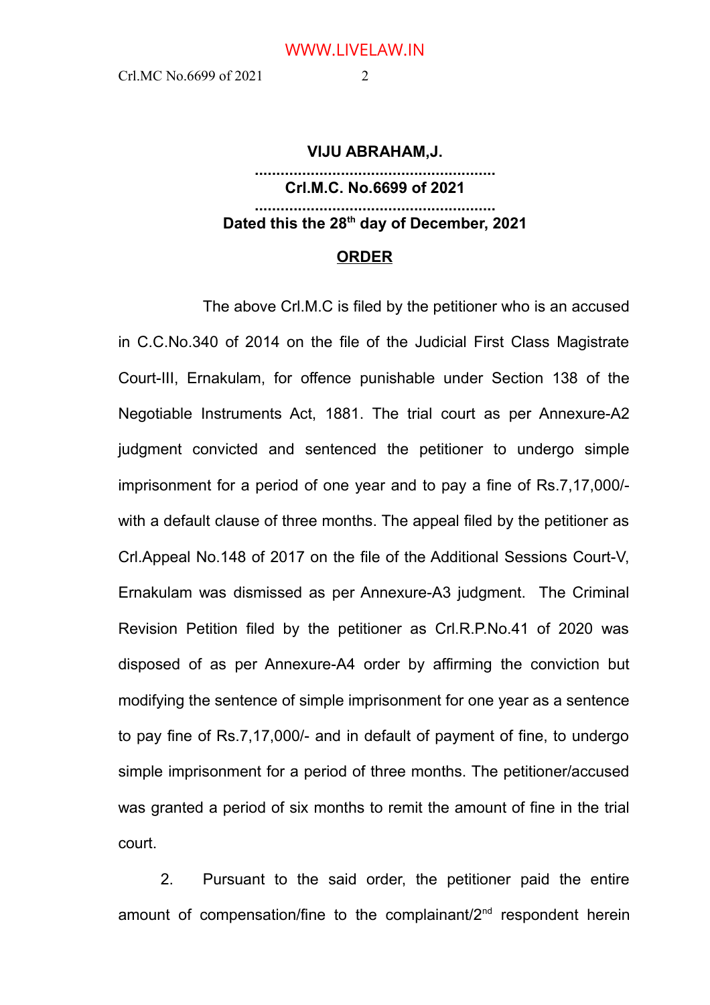#### **VIJU ABRAHAM,J.**

## **........................................................ Crl.M.C. No.6699 of 2021 ........................................................ Dated this the 28th day of December, 2021**

### **ORDER**

The above Crl.M.C is filed by the petitioner who is an accused in C.C.No.340 of 2014 on the file of the Judicial First Class Magistrate Court-III, Ernakulam, for offence punishable under Section 138 of the Negotiable Instruments Act, 1881. The trial court as per Annexure-A2 judgment convicted and sentenced the petitioner to undergo simple imprisonment for a period of one year and to pay a fine of Rs.7,17,000/ with a default clause of three months. The appeal filed by the petitioner as Crl.Appeal No.148 of 2017 on the file of the Additional Sessions Court-V, Ernakulam was dismissed as per Annexure-A3 judgment. The Criminal Revision Petition filed by the petitioner as Crl.R.P.No.41 of 2020 was disposed of as per Annexure-A4 order by affirming the conviction but modifying the sentence of simple imprisonment for one year as a sentence to pay fine of Rs.7,17,000/- and in default of payment of fine, to undergo simple imprisonment for a period of three months. The petitioner/accused was granted a period of six months to remit the amount of fine in the trial court.

2. Pursuant to the said order, the petitioner paid the entire amount of compensation/fine to the complainant/ $2<sup>nd</sup>$  respondent herein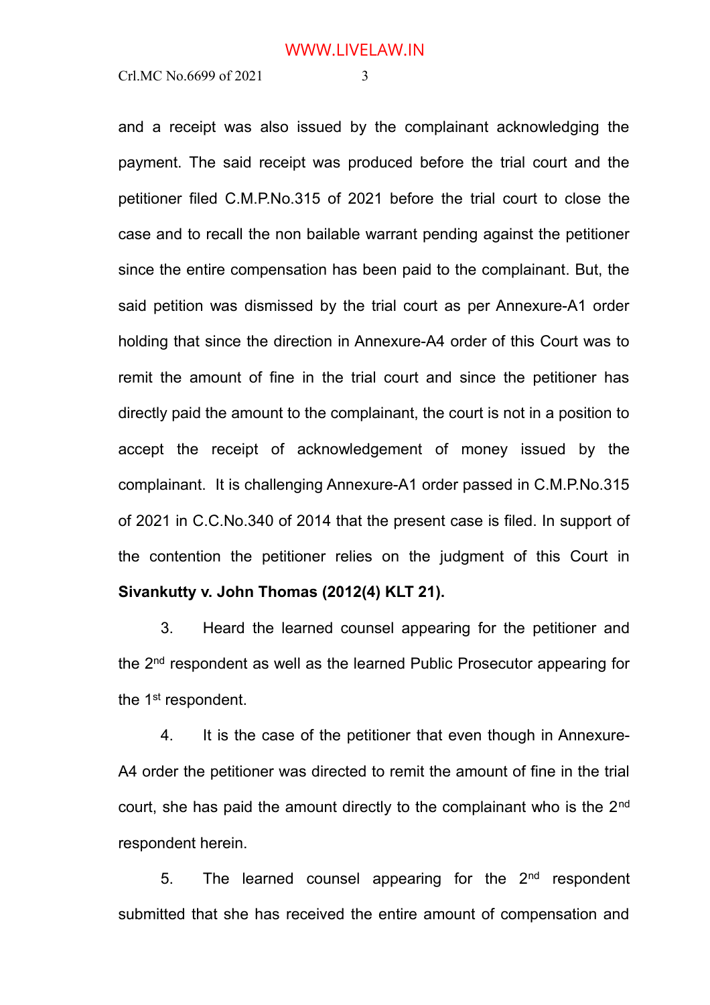and a receipt was also issued by the complainant acknowledging the payment. The said receipt was produced before the trial court and the petitioner filed C.M.P.No.315 of 2021 before the trial court to close the case and to recall the non bailable warrant pending against the petitioner since the entire compensation has been paid to the complainant. But, the said petition was dismissed by the trial court as per Annexure-A1 order holding that since the direction in Annexure-A4 order of this Court was to remit the amount of fine in the trial court and since the petitioner has directly paid the amount to the complainant, the court is not in a position to accept the receipt of acknowledgement of money issued by the complainant. It is challenging Annexure-A1 order passed in C.M.P.No.315 of 2021 in C.C.No.340 of 2014 that the present case is filed. In support of the contention the petitioner relies on the judgment of this Court in **Sivankutty v. John Thomas (2012(4) KLT 21).**

3. Heard the learned counsel appearing for the petitioner and the 2<sup>nd</sup> respondent as well as the learned Public Prosecutor appearing for the 1<sup>st</sup> respondent.

4. It is the case of the petitioner that even though in Annexure-A4 order the petitioner was directed to remit the amount of fine in the trial court, she has paid the amount directly to the complainant who is the 2<sup>nd</sup> respondent herein.

5. The learned counsel appearing for the  $2<sup>nd</sup>$  respondent submitted that she has received the entire amount of compensation and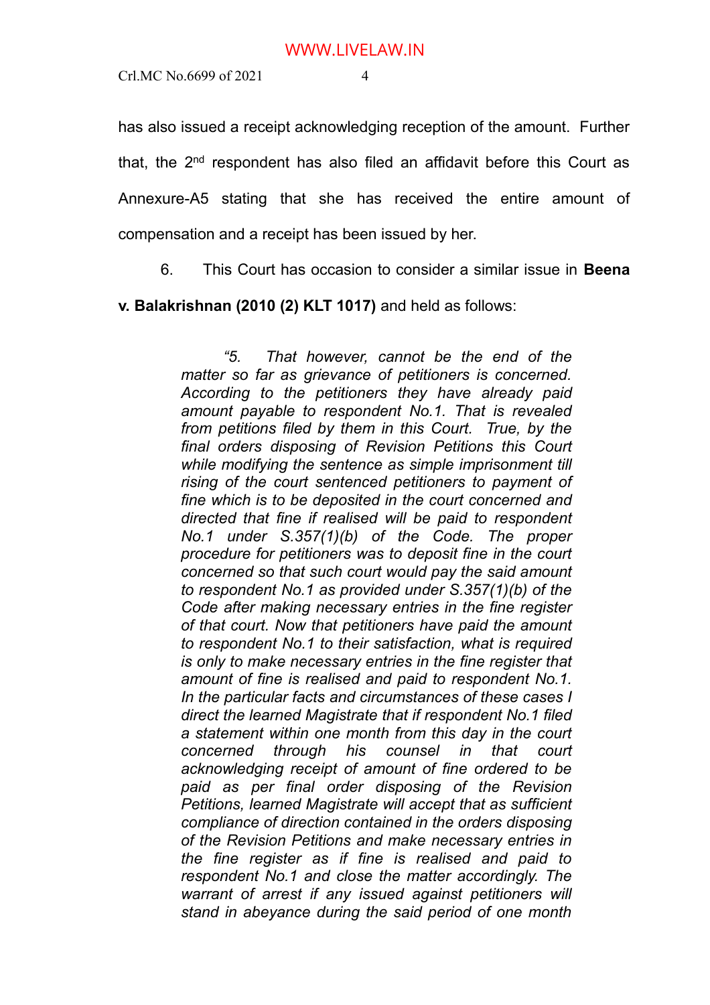has also issued a receipt acknowledging reception of the amount. Further that, the  $2<sup>nd</sup>$  respondent has also filed an affidavit before this Court as Annexure-A5 stating that she has received the entire amount of compensation and a receipt has been issued by her.

6. This Court has occasion to consider a similar issue in **Beena**

**v. Balakrishnan (2010 (2) KLT 1017)** and held as follows:

*"5. That however, cannot be the end of the matter so far as grievance of petitioners is concerned. According to the petitioners they have already paid amount payable to respondent No.1. That is revealed from petitions filed by them in this Court. True, by the final orders disposing of Revision Petitions this Court while modifying the sentence as simple imprisonment till rising of the court sentenced petitioners to payment of fine which is to be deposited in the court concerned and directed that fine if realised will be paid to respondent No.1 under S.357(1)(b) of the Code. The proper procedure for petitioners was to deposit fine in the court concerned so that such court would pay the said amount to respondent No.1 as provided under S.357(1)(b) of the Code after making necessary entries in the fine register of that court. Now that petitioners have paid the amount to respondent No.1 to their satisfaction, what is required is only to make necessary entries in the fine register that amount of fine is realised and paid to respondent No.1. In the particular facts and circumstances of these cases I direct the learned Magistrate that if respondent No.1 filed a statement within one month from this day in the court concerned through his counsel in that court acknowledging receipt of amount of fine ordered to be paid as per final order disposing of the Revision Petitions, learned Magistrate will accept that as sufficient compliance of direction contained in the orders disposing of the Revision Petitions and make necessary entries in the fine register as if fine is realised and paid to respondent No.1 and close the matter accordingly. The warrant of arrest if any issued against petitioners will stand in abeyance during the said period of one month*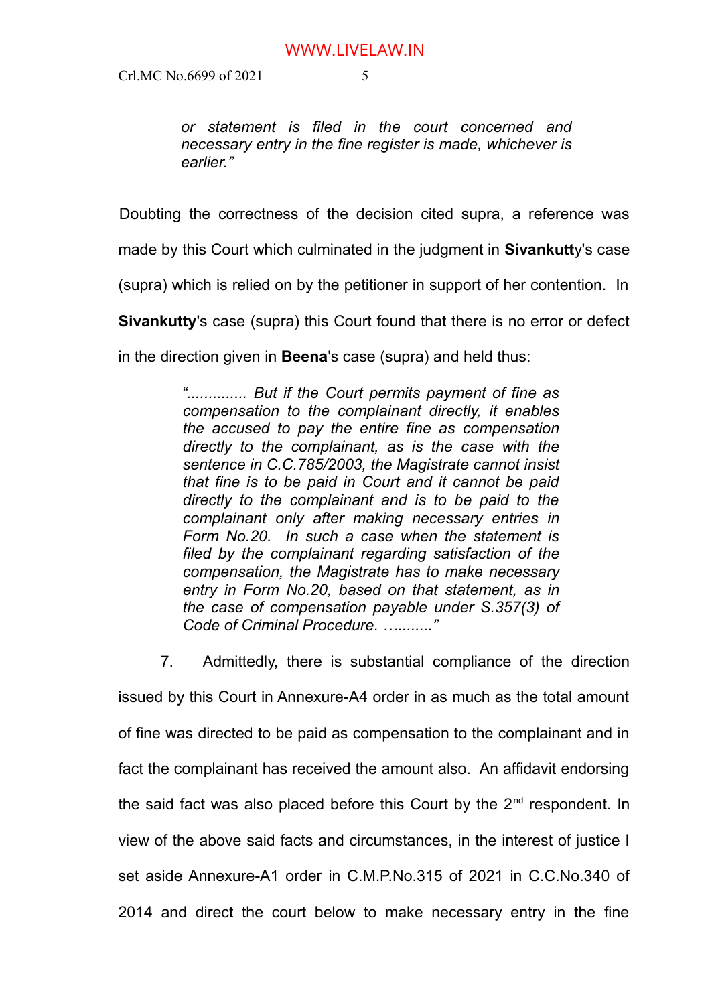*or statement is filed in the court concerned and necessary entry in the fine register is made, whichever is earlier."*

Doubting the correctness of the decision cited supra, a reference was

made by this Court which culminated in the judgment in **Sivankutt**y's case

(supra) which is relied on by the petitioner in support of her contention. In

**Sivankutty**'s case (supra) this Court found that there is no error or defect

in the direction given in **Beena**'s case (supra) and held thus:

*".............. But if the Court permits payment of fine as compensation to the complainant directly, it enables the accused to pay the entire fine as compensation directly to the complainant, as is the case with the sentence in C.C.785/2003, the Magistrate cannot insist that fine is to be paid in Court and it cannot be paid directly to the complainant and is to be paid to the complainant only after making necessary entries in Form No.20. In such a case when the statement is filed by the complainant regarding satisfaction of the compensation, the Magistrate has to make necessary entry in Form No.20, based on that statement, as in the case of compensation payable under S.357(3) of Code of Criminal Procedure. …........"*

7. Admittedly, there is substantial compliance of the direction issued by this Court in Annexure-A4 order in as much as the total amount of fine was directed to be paid as compensation to the complainant and in fact the complainant has received the amount also. An affidavit endorsing the said fact was also placed before this Court by the  $2<sup>nd</sup>$  respondent. In view of the above said facts and circumstances, in the interest of justice I set aside Annexure-A1 order in C.M.P.No.315 of 2021 in C.C.No.340 of 2014 and direct the court below to make necessary entry in the fine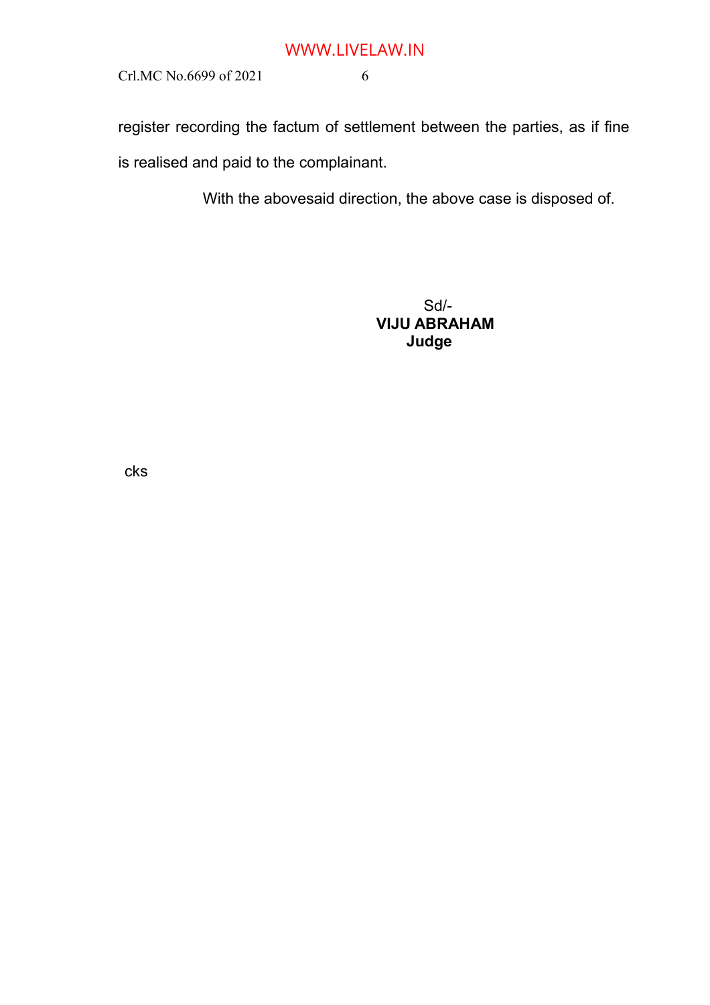# WWW.LIVELAW.IN

Crl.MC No.6699 of 2021 6

register recording the factum of settlement between the parties, as if fine is realised and paid to the complainant.

With the abovesaid direction, the above case is disposed of.

Sd/-  **VIJU ABRAHAM Judge**

cks